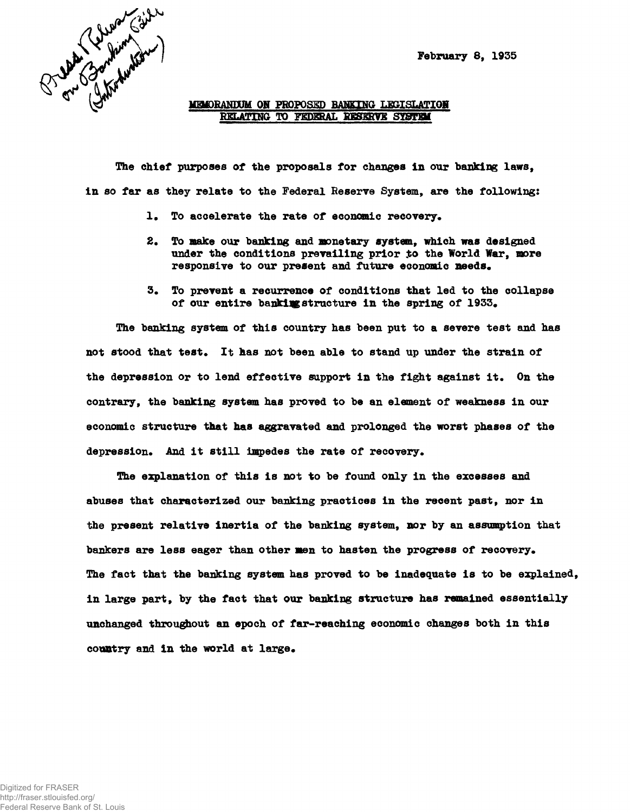**February 8, 1935**



**MEMORANDUM ON PROPOSED BANKING LEGISLATION RELATING TO FEDHtAL RESERVE SYSTEM**

**The chief purposes of the proposals for changes in our banking laws, in so far as they relate to the Federal Reserve System, are the following:**

- 1. To accelerate the rate of economic recovery.
- **2. To make our banking and monetary system, which was designed** under the conditions prevailing prior to the World War, more responsive to our present and future economic needs.
- **3\* To prevent a recurrence of conditions that led to the collapse of our entire bankingstructure in the spring of 1933.**

**The banking system of this country has been put to a severe test and has not stood that test. It has not been able to stand up under the strain of the depression or to lend effective support in the fight against it. On the contrary, the banking system has proved to be an element of weakness in our economic structure that has aggravated and prolonged the worst phases of the** depression. And it still impedes the rate of recovery.

**The explanation of this is not to be found only in the excesses and abuses that characterized our banking practices in the recent past, nor in the present relative inertia of the banking system, nor by an assumption that** bankers are less eager than other men to hasten the progress of recovery. **The fact that the banking system has proved to be inadequate is to be explained, in large part, by the fact that our banking structure has remained essentially unchanged throughout an epoch of far-reaching economic changes both in this** country and in the world at large.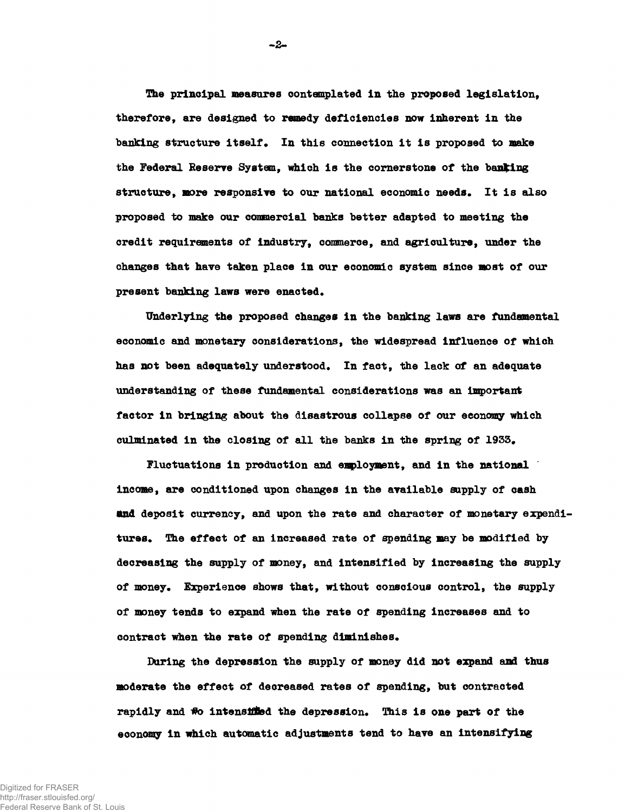**The principal measures contemplated in the proposed legislation, therefore, are designed to remedy deficiencies now inherent in the banking structure itself. In this connection it is proposed to make the Federal Reserve System, which is the cornerstone of the banting structure, more responsive to our national economic needs. It is also proposed to make our commercial banks better adapted to meeting the credit requirements of Industry, commerce, and agriculture, under the changes that have taken place in our economic system since most of our present banking laws were enacted.**

**Underlying the proposed changes in the banking laws are fundamental economic and monetary considerations, the widespread influence of which has not been adequately understood. In fact, the lack of an adequate understanding of these fundamental considerations was an important factor in bringing about the disastrous collapse of our economy which culminated in the closing of all the banks in the spring of 1933.**

**Fluctuations in production and employment, and in the national income, are conditioned upon changes in the available supply of cash And deposit currency, and upon the rate and character of monetary expenditures. The effect of an increased rate of spending may be modified by decreasing the supply of money, and Intensified by increasing the supply of money. Experience shows that, without conscious control, the supply of money tends to expand when the rate of spending increases and to contract when the rate of spending diminishes.**

**During the depression the supply of money did not expand and thus moderate the effect of decreased rates of spending, but contracted rapidly and tfo intensified the depression. This is one part of the economy in which automatic adjustments tend to have an intensifying**

Digitized for FRASER http://fraser.stlouisfed.org/ Federal Reserve Bank of St. Louis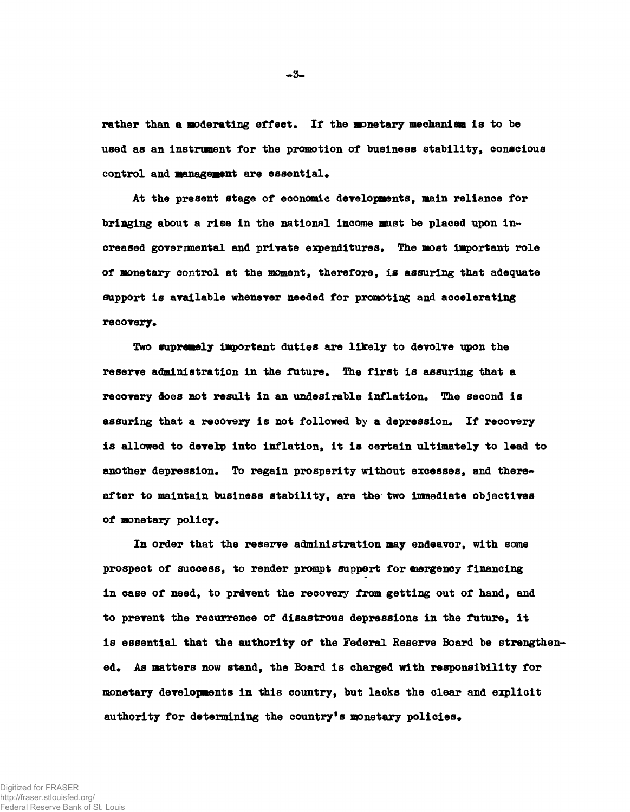**rather than a moderating effect. If the monetary mechanism is to be used as an instrument for the promotion of business stability, conscious control and management are essential.**

**At the present stage of economic developments, main reliance for bringing about a rise in the national income must be placed upon increased governmental and private expenditures. The most important role of monetary control at the moment, therefore, is assuring that adequate support is available whenever needed for promoting and accelerating recovery.**

**Two supremely important duties are likely to devolve upon the reserve administration in the future. The first is assuring that a recovery does not result in an undesirable inflation. The second is assuring that a recovery is not followed by a depression. If recovery is allowed to develop into inflation, it is certain ultimately to lead to another depression. To regain prosperity without excesses, and thereafter to maintain business stability, are the two immediate objectives of monetary policy.**

**In order that the reserve administration may endeavor, with some prospect of success, to render prompt support for emergency financing in case of need, to prevent the recovery from getting out of hand, and to prevent the recurrence of disastrous depressions in the future, it is essential that the authority of the Federal Reserve Board be strengthened. As matters now stand, the Board is charged with responsibility for monetary developments in this country, but lacks the clear and explicit authority for determining the country\*s monetary policies.**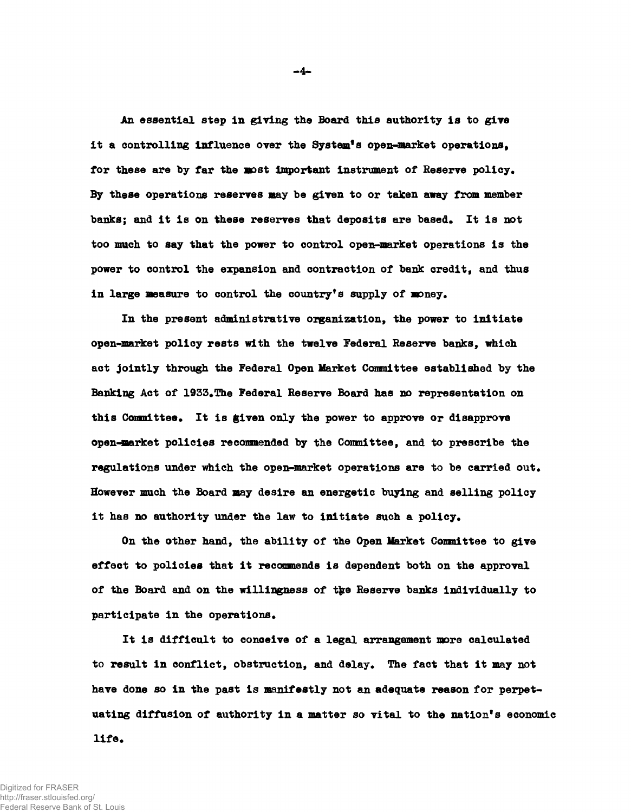**An essential step in giving the Board this authority is to give** it a controlling influence over the System<sup>8</sup><sup>8</sup> open-market operations. **for these are by far the most important instrument of Reserve policy. By these operations reserves may be given to or taken away from member** banks; and it is on these reserves that deposits are based. It is not **too much to say that the power to control open-market operations is the power to control the expansion and contraction of bank credit, and thus in large measure to control the country<sup>1</sup>s supply of money.**

**In the present administrative organization, the power to initiate open-market policy rests with the twelve Federal Reserve banks, which act jointly through the Federal Open Market Committee established by the Banking Act of 1933#The Federal Reserve Board has no representation on this Committee. It is given only the power to approve or disapprove open-market policies recommended by the Committee, and to prescribe the** regulations under which the open-market operations are to be carried out. **However much the Board may desire an energetic buying and selling policy it has no authority under the law to initiate such a policy.**

**On the other hand, the ability of the Open Market Committee to give effeet to policies that it recommends is dependent both on the approval of the Board and on the willingness of t\$re Reserve banks individually to participate in the operations.**

**It is difficult to conceive of a legal arrangement more calculated to result in conflict, obstruction, and delay. The fact that it may not have done so in the past is manifestly not an adequate reason for perpetuating diffusion of authority in a matter so vital to the nation<sup>1</sup> s economic life.**

**-4-**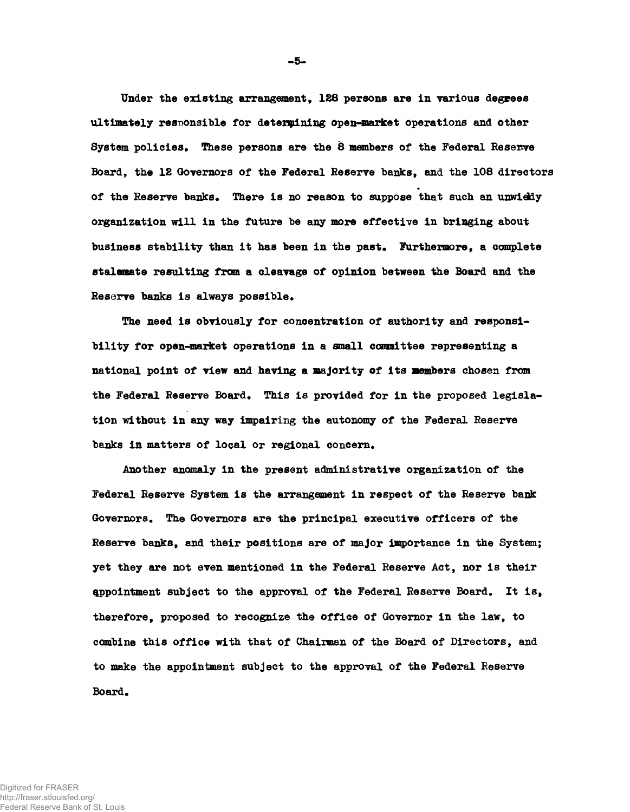**Under the existing arrangement, 128 persons are in various degrees ultimately responsible for determining open-market operations and other** System policies. These persons are the 8 members of the Federal Reserve **Board, the 12 Governors of the Federal Reserve banks, and the 108 directors** of the Reserve banks. There is no reason to suppose that such an unwiedy **organization will in the future be any more effective in bringing about** business stability than it has been in the past. Furthermore, a complete **stalemate resulting from a cleavage of opinion between the Board and the Reserve banks is always possible.**

**The need is obviously for concentration of authority and responsibility for open-market operations in a small cozomittee representing a national point of view and having a majority of its members chosen from** the Federal Reserve Board. This is provided for in the proposed legisla**tion without in any way impairing the autonomy of the Federal Reserve** banks in matters of local or regional concern.

**Another anomaly in the present administrative organization of the Federal Reserve System is the arrangement in respect of the Reserve bank Governors. The Governors are the principal executive officers of the Reserve banks, and their positions are of major importance in the System; yet they are not even mentioned in the Federal Reserve Act, nor is their appointment subject to the approval of the Federal Reserve Board. It is, therefore, proposed to recognize the office of Governor in the law, to combine this office with that of Chairman of the Board of Directors, and to make the appointment subject to the approval of the Federal Reserve Board.**

**-5-**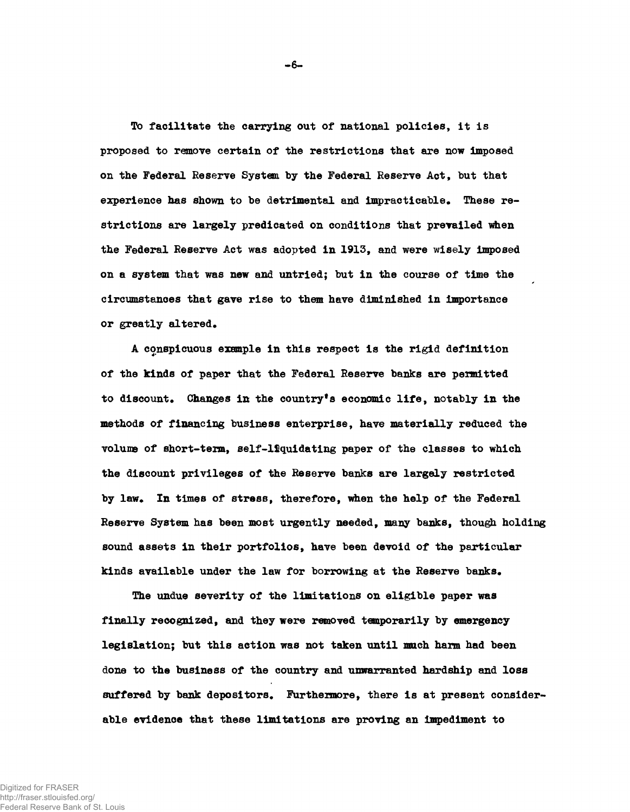**To facilitate the carrying out of national policies, it is proposed to remove certain of the restrictions that are now imposed on the Federal Reserve System by the Federal Reserve Act, but that experience has shown to be detrimental and impracticable. These restrictions are largely predicated on conditions that prevailed when the Federal Reserve Act was adopted in 1913, and were wisely imposed on a system that was new and untried; but in the course of time the circumstances that gave rise to them have diminished in importance or greatly altered.**

**A conspicuous example in this respect is the rigid definition of the kinds of paper that the Federal Reserve banks are permitted to discount. Changes in the country<sup>1</sup>s economic life, notably in the methods of financing business enterprise, have materially reduced the volume of short-term, self-liquidating paper of the classes to which the discount privileges of the Reserve banks are largely restricted by law. In times of stress, therefore, when the help of the Federal Reserve System has been most urgently needed, many banks, though holding sound assets in their portfolios, have been devoid of the particular kinds available under the law for borrowing at the Reserve banks.**

**The undue severity of the limitations on eligible paper was finally recognized, and they were removed temporarily by emergency legislation; but this action was not taken until much harm had been done to the business of the country and unwarranted hardship and loss suffered by bank depositors. Furthermore, there is at present considerable evidence that these limitations are proving an impediment to**

**-6-**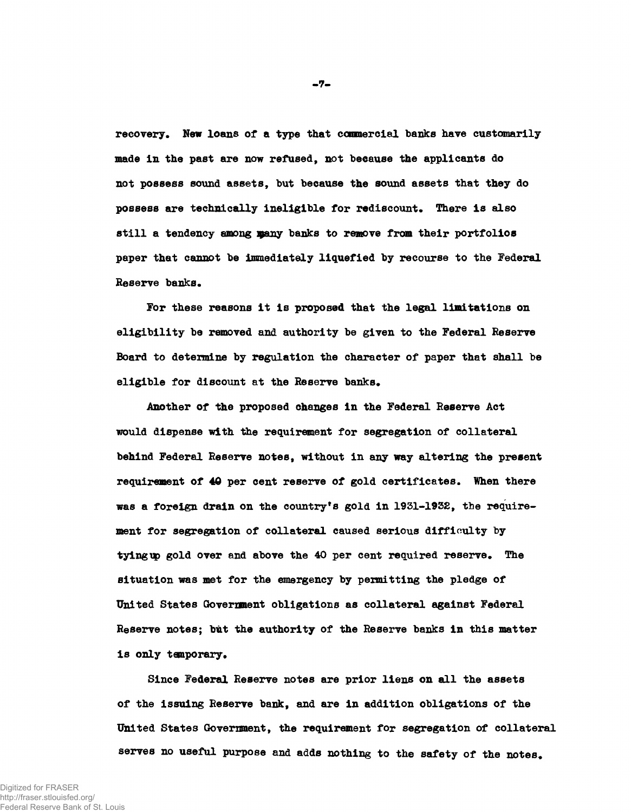**recovery. New loans of a type that commercial banks have customarily made in the past are now refused, not beeause the applicants do not possess sound assets, but because the sound assets that they do possess are technically ineligible for rediscount\* There is also still a tendency among vany banks to remove from their portfolios paper that cannot be immediately liquefied by recourse to the Federal Reserve banks.**

**For these reasons it is proposed that the legal limitations on eligibility be removed and authority be given to the Federal Reserve Board to determine by regulation the character of paper that shall be** eligible for discount at the Reserve banks.

**Another of the proposed changes in the Federal Reserve Act would dispense with the requirement for segregation of collateral behind Federal Reserve notes, without in any way altering the present requirement of 40 per cent reserve of gold certificates. When there was a foreign drain on the country's gold in 1931-1932, the requirement for segregation of collateral caused serious difficulty by** tying up gold over and above the 40 per cent required reserve. The situation was met for the emergency by permitting the pledge of **United States Government obligations as collateral against Federal Reserve notes; but the authority of the Reserve banks in this matter is only temporary.**

**Since Federal Reserve notes are prior liens on all the assets of the issuing Reserve bank, and are in addition obligations of the United States Government, the requirement for segregation of collateral serves no useful purpose and adds nothing to the safety of the notes.**

**-7-**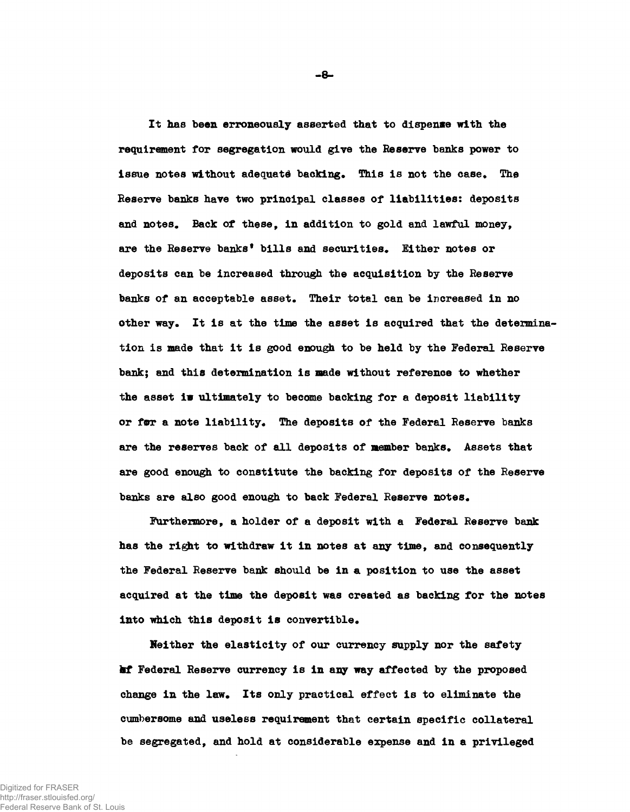**It has been erroneously asserted that to dispense with the requirement for segregation would give the Reserve banks power to issue notes without adequate backing. This is not the case. The Reserve basks have two principal classes of liabilities: deposits and notes. Back of these, in addition to gold and lawful money,** are the Reserve banks<sup>*†*</sup> bills and securities. Either notes or **deposits can be increased through the acquisition by the Reserve banks of an acceptable asset. Their total can be increased in no other way. It is at the time the asset is acquired that the determination is made that it is good enough to be held by the Federal Reserve bank; and this determination is made without reference to whether the asset iw ultimately to become backing for a deposit liability** or for a note liability. The deposits of the Federal Reserve banks **are the reserves back of all deposits of member banks. Assets that are good enough to constitute the backing for deposits of the Reserve banks are also good enough to back Federal Reserve notes.**

**Furthermore, a holder of a deposit with a Federal Reserve bank has the right to withdraw it in notes at any time, and consequently the Federal Reserve bank should be in a position to use the asset acquired at the time the deposit was created as backing for the notes into which this deposit is convertible.**

**Neither the elasticity of our currency supply nor the safety kf Federal Reserve currency is in any way affected by the proposed change in the law. Its only practical effect is to eliminate the cumbersome and useless requirement that certain specific collateral be segregated, and hold at considerable expense and in a privileged**

**-8-**